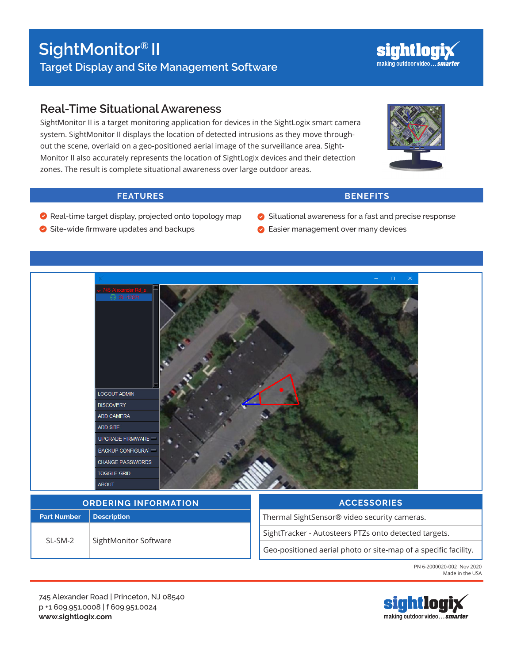## **Real-Time Situational Awareness**

SightMonitor II is a target monitoring application for devices in the SightLogix smart camera system. SightMonitor II displays the location of detected intrusions as they move throughout the scene, overlaid on a geo-positioned aerial image of the surveillance area. Sight-Monitor II also accurately represents the location of SightLogix devices and their detection zones. The result is complete situational awareness over large outdoor areas.

### **FEATURES BENEFITS**

 $\Box$ 

- Real-time target display, projected onto topology map
- Situational awareness for a fast and precise response
- **Easier management over many devices**



745 Alexander Road | Princeton, NJ 08540 p +1 609.951.0008 | f 609.951.0024 **www.sightlogix.com**





Site-wide firmware updates and backups